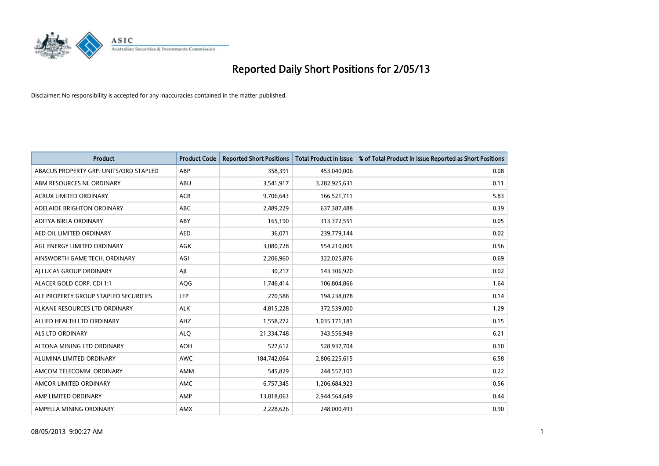

| <b>Product</b>                         | <b>Product Code</b> | <b>Reported Short Positions</b> | <b>Total Product in Issue</b> | % of Total Product in Issue Reported as Short Positions |
|----------------------------------------|---------------------|---------------------------------|-------------------------------|---------------------------------------------------------|
| ABACUS PROPERTY GRP. UNITS/ORD STAPLED | ABP                 | 358,391                         | 453,040,006                   | 0.08                                                    |
| ABM RESOURCES NL ORDINARY              | ABU                 | 3,541,917                       | 3,282,925,631                 | 0.11                                                    |
| <b>ACRUX LIMITED ORDINARY</b>          | <b>ACR</b>          | 9,706,643                       | 166,521,711                   | 5.83                                                    |
| ADELAIDE BRIGHTON ORDINARY             | <b>ABC</b>          | 2,489,229                       | 637,387,488                   | 0.39                                                    |
| ADITYA BIRLA ORDINARY                  | ABY                 | 165,190                         | 313,372,551                   | 0.05                                                    |
| AED OIL LIMITED ORDINARY               | <b>AED</b>          | 36,071                          | 239,779,144                   | 0.02                                                    |
| AGL ENERGY LIMITED ORDINARY            | AGK                 | 3,080,728                       | 554,210,005                   | 0.56                                                    |
| AINSWORTH GAME TECH. ORDINARY          | AGI                 | 2,206,960                       | 322,025,876                   | 0.69                                                    |
| AI LUCAS GROUP ORDINARY                | AJL                 | 30,217                          | 143,306,920                   | 0.02                                                    |
| ALACER GOLD CORP. CDI 1:1              | AQG                 | 1,746,414                       | 106,804,866                   | 1.64                                                    |
| ALE PROPERTY GROUP STAPLED SECURITIES  | <b>LEP</b>          | 270,588                         | 194,238,078                   | 0.14                                                    |
| ALKANE RESOURCES LTD ORDINARY          | <b>ALK</b>          | 4,815,228                       | 372,539,000                   | 1.29                                                    |
| ALLIED HEALTH LTD ORDINARY             | AHZ                 | 1,558,272                       | 1,035,171,181                 | 0.15                                                    |
| ALS LTD ORDINARY                       | <b>ALO</b>          | 21,334,748                      | 343,556,949                   | 6.21                                                    |
| ALTONA MINING LTD ORDINARY             | <b>AOH</b>          | 527,612                         | 528,937,704                   | 0.10                                                    |
| ALUMINA LIMITED ORDINARY               | <b>AWC</b>          | 184,742,064                     | 2,806,225,615                 | 6.58                                                    |
| AMCOM TELECOMM. ORDINARY               | AMM                 | 545,829                         | 244,557,101                   | 0.22                                                    |
| AMCOR LIMITED ORDINARY                 | <b>AMC</b>          | 6,757,345                       | 1,206,684,923                 | 0.56                                                    |
| AMP LIMITED ORDINARY                   | AMP                 | 13,018,063                      | 2,944,564,649                 | 0.44                                                    |
| AMPELLA MINING ORDINARY                | AMX                 | 2,228,626                       | 248,000,493                   | 0.90                                                    |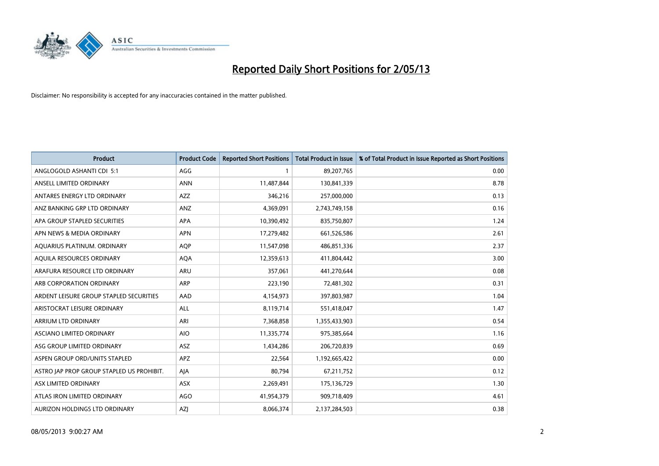

| <b>Product</b>                            | <b>Product Code</b> | <b>Reported Short Positions</b> | <b>Total Product in Issue</b> | % of Total Product in Issue Reported as Short Positions |
|-------------------------------------------|---------------------|---------------------------------|-------------------------------|---------------------------------------------------------|
| ANGLOGOLD ASHANTI CDI 5:1                 | AGG                 | 1                               | 89,207,765                    | 0.00                                                    |
| ANSELL LIMITED ORDINARY                   | <b>ANN</b>          | 11,487,844                      | 130,841,339                   | 8.78                                                    |
| ANTARES ENERGY LTD ORDINARY               | <b>AZZ</b>          | 346,216                         | 257,000,000                   | 0.13                                                    |
| ANZ BANKING GRP LTD ORDINARY              | ANZ                 | 4,369,091                       | 2,743,749,158                 | 0.16                                                    |
| APA GROUP STAPLED SECURITIES              | APA                 | 10,390,492                      | 835,750,807                   | 1.24                                                    |
| APN NEWS & MEDIA ORDINARY                 | <b>APN</b>          | 17,279,482                      | 661,526,586                   | 2.61                                                    |
| AQUARIUS PLATINUM. ORDINARY               | <b>AOP</b>          | 11,547,098                      | 486,851,336                   | 2.37                                                    |
| AQUILA RESOURCES ORDINARY                 | <b>AQA</b>          | 12,359,613                      | 411,804,442                   | 3.00                                                    |
| ARAFURA RESOURCE LTD ORDINARY             | ARU                 | 357,061                         | 441,270,644                   | 0.08                                                    |
| ARB CORPORATION ORDINARY                  | <b>ARP</b>          | 223,190                         | 72,481,302                    | 0.31                                                    |
| ARDENT LEISURE GROUP STAPLED SECURITIES   | AAD                 | 4,154,973                       | 397,803,987                   | 1.04                                                    |
| ARISTOCRAT LEISURE ORDINARY               | <b>ALL</b>          | 8,119,714                       | 551,418,047                   | 1.47                                                    |
| ARRIUM LTD ORDINARY                       | ARI                 | 7,368,858                       | 1,355,433,903                 | 0.54                                                    |
| ASCIANO LIMITED ORDINARY                  | <b>AIO</b>          | 11,335,774                      | 975,385,664                   | 1.16                                                    |
| ASG GROUP LIMITED ORDINARY                | <b>ASZ</b>          | 1,434,286                       | 206,720,839                   | 0.69                                                    |
| ASPEN GROUP ORD/UNITS STAPLED             | APZ                 | 22,564                          | 1,192,665,422                 | 0.00                                                    |
| ASTRO JAP PROP GROUP STAPLED US PROHIBIT. | AJA                 | 80,794                          | 67,211,752                    | 0.12                                                    |
| ASX LIMITED ORDINARY                      | ASX                 | 2,269,491                       | 175,136,729                   | 1.30                                                    |
| ATLAS IRON LIMITED ORDINARY               | <b>AGO</b>          | 41,954,379                      | 909,718,409                   | 4.61                                                    |
| AURIZON HOLDINGS LTD ORDINARY             | AZJ                 | 8,066,374                       | 2,137,284,503                 | 0.38                                                    |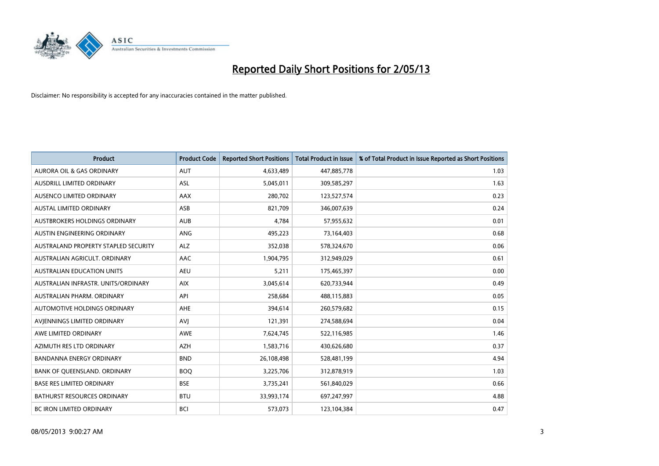

| <b>Product</b>                       | <b>Product Code</b> | <b>Reported Short Positions</b> | <b>Total Product in Issue</b> | % of Total Product in Issue Reported as Short Positions |
|--------------------------------------|---------------------|---------------------------------|-------------------------------|---------------------------------------------------------|
| <b>AURORA OIL &amp; GAS ORDINARY</b> | <b>AUT</b>          | 4,633,489                       | 447,885,778                   | 1.03                                                    |
| AUSDRILL LIMITED ORDINARY            | ASL                 | 5,045,011                       | 309,585,297                   | 1.63                                                    |
| AUSENCO LIMITED ORDINARY             | AAX                 | 280,702                         | 123,527,574                   | 0.23                                                    |
| AUSTAL LIMITED ORDINARY              | ASB                 | 821,709                         | 346,007,639                   | 0.24                                                    |
| <b>AUSTBROKERS HOLDINGS ORDINARY</b> | <b>AUB</b>          | 4,784                           | 57,955,632                    | 0.01                                                    |
| AUSTIN ENGINEERING ORDINARY          | <b>ANG</b>          | 495,223                         | 73,164,403                    | 0.68                                                    |
| AUSTRALAND PROPERTY STAPLED SECURITY | ALZ                 | 352,038                         | 578,324,670                   | 0.06                                                    |
| AUSTRALIAN AGRICULT, ORDINARY        | AAC                 | 1,904,795                       | 312,949,029                   | 0.61                                                    |
| <b>AUSTRALIAN EDUCATION UNITS</b>    | <b>AEU</b>          | 5,211                           | 175,465,397                   | 0.00                                                    |
| AUSTRALIAN INFRASTR, UNITS/ORDINARY  | <b>AIX</b>          | 3,045,614                       | 620,733,944                   | 0.49                                                    |
| AUSTRALIAN PHARM. ORDINARY           | API                 | 258,684                         | 488,115,883                   | 0.05                                                    |
| <b>AUTOMOTIVE HOLDINGS ORDINARY</b>  | <b>AHE</b>          | 394,614                         | 260,579,682                   | 0.15                                                    |
| AVIENNINGS LIMITED ORDINARY          | AVI                 | 121,391                         | 274,588,694                   | 0.04                                                    |
| AWE LIMITED ORDINARY                 | AWE                 | 7,624,745                       | 522,116,985                   | 1.46                                                    |
| AZIMUTH RES LTD ORDINARY             | <b>AZH</b>          | 1,583,716                       | 430,626,680                   | 0.37                                                    |
| BANDANNA ENERGY ORDINARY             | <b>BND</b>          | 26,108,498                      | 528,481,199                   | 4.94                                                    |
| BANK OF QUEENSLAND. ORDINARY         | <b>BOQ</b>          | 3,225,706                       | 312,878,919                   | 1.03                                                    |
| <b>BASE RES LIMITED ORDINARY</b>     | <b>BSE</b>          | 3,735,241                       | 561,840,029                   | 0.66                                                    |
| <b>BATHURST RESOURCES ORDINARY</b>   | <b>BTU</b>          | 33,993,174                      | 697,247,997                   | 4.88                                                    |
| <b>BC IRON LIMITED ORDINARY</b>      | <b>BCI</b>          | 573,073                         | 123,104,384                   | 0.47                                                    |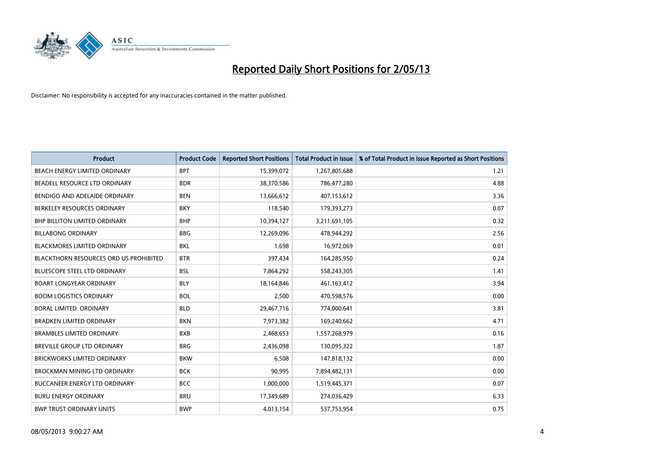

| <b>Product</b>                         | <b>Product Code</b> | <b>Reported Short Positions</b> | <b>Total Product in Issue</b> | % of Total Product in Issue Reported as Short Positions |
|----------------------------------------|---------------------|---------------------------------|-------------------------------|---------------------------------------------------------|
| BEACH ENERGY LIMITED ORDINARY          | <b>BPT</b>          | 15,399,072                      | 1,267,805,688                 | 1.21                                                    |
| BEADELL RESOURCE LTD ORDINARY          | <b>BDR</b>          | 38,370,586                      | 786,477,280                   | 4.88                                                    |
| BENDIGO AND ADELAIDE ORDINARY          | <b>BEN</b>          | 13,666,612                      | 407,153,612                   | 3.36                                                    |
| BERKELEY RESOURCES ORDINARY            | <b>BKY</b>          | 118,540                         | 179,393,273                   | 0.07                                                    |
| <b>BHP BILLITON LIMITED ORDINARY</b>   | <b>BHP</b>          | 10,394,127                      | 3,211,691,105                 | 0.32                                                    |
| <b>BILLABONG ORDINARY</b>              | <b>BBG</b>          | 12,269,096                      | 478,944,292                   | 2.56                                                    |
| <b>BLACKMORES LIMITED ORDINARY</b>     | <b>BKL</b>          | 1,698                           | 16,972,069                    | 0.01                                                    |
| BLACKTHORN RESOURCES ORD US PROHIBITED | <b>BTR</b>          | 397,434                         | 164,285,950                   | 0.24                                                    |
| <b>BLUESCOPE STEEL LTD ORDINARY</b>    | <b>BSL</b>          | 7,864,292                       | 558,243,305                   | 1.41                                                    |
| <b>BOART LONGYEAR ORDINARY</b>         | <b>BLY</b>          | 18,164,846                      | 461,163,412                   | 3.94                                                    |
| <b>BOOM LOGISTICS ORDINARY</b>         | <b>BOL</b>          | 2,500                           | 470,598,576                   | 0.00                                                    |
| <b>BORAL LIMITED, ORDINARY</b>         | <b>BLD</b>          | 29,467,716                      | 774,000,641                   | 3.81                                                    |
| <b>BRADKEN LIMITED ORDINARY</b>        | <b>BKN</b>          | 7,973,382                       | 169,240,662                   | 4.71                                                    |
| <b>BRAMBLES LIMITED ORDINARY</b>       | <b>BXB</b>          | 2,468,653                       | 1,557,268,979                 | 0.16                                                    |
| BREVILLE GROUP LTD ORDINARY            | <b>BRG</b>          | 2,436,098                       | 130,095,322                   | 1.87                                                    |
| BRICKWORKS LIMITED ORDINARY            | <b>BKW</b>          | 6,508                           | 147,818,132                   | 0.00                                                    |
| BROCKMAN MINING LTD ORDINARY           | <b>BCK</b>          | 90,995                          | 7,894,482,131                 | 0.00                                                    |
| BUCCANEER ENERGY LTD ORDINARY          | <b>BCC</b>          | 1,000,000                       | 1,519,445,371                 | 0.07                                                    |
| <b>BURU ENERGY ORDINARY</b>            | <b>BRU</b>          | 17,349,689                      | 274,036,429                   | 6.33                                                    |
| <b>BWP TRUST ORDINARY UNITS</b>        | <b>BWP</b>          | 4,013,154                       | 537,753,954                   | 0.75                                                    |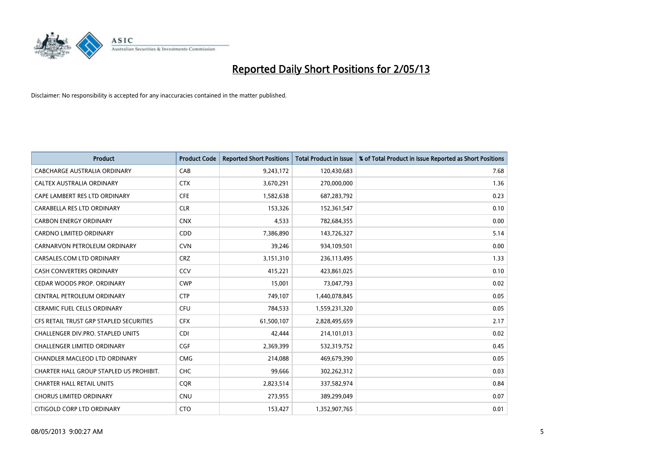

| <b>Product</b>                          | <b>Product Code</b> | <b>Reported Short Positions</b> | <b>Total Product in Issue</b> | % of Total Product in Issue Reported as Short Positions |
|-----------------------------------------|---------------------|---------------------------------|-------------------------------|---------------------------------------------------------|
| <b>CABCHARGE AUSTRALIA ORDINARY</b>     | CAB                 | 9,243,172                       | 120,430,683                   | 7.68                                                    |
| CALTEX AUSTRALIA ORDINARY               | <b>CTX</b>          | 3,670,291                       | 270,000,000                   | 1.36                                                    |
| CAPE LAMBERT RES LTD ORDINARY           | <b>CFE</b>          | 1,582,638                       | 687,283,792                   | 0.23                                                    |
| CARABELLA RES LTD ORDINARY              | <b>CLR</b>          | 153,326                         | 152,361,547                   | 0.10                                                    |
| <b>CARBON ENERGY ORDINARY</b>           | <b>CNX</b>          | 4,533                           | 782,684,355                   | 0.00                                                    |
| <b>CARDNO LIMITED ORDINARY</b>          | CDD                 | 7,386,890                       | 143,726,327                   | 5.14                                                    |
| CARNARVON PETROLEUM ORDINARY            | <b>CVN</b>          | 39.246                          | 934,109,501                   | 0.00                                                    |
| CARSALES.COM LTD ORDINARY               | <b>CRZ</b>          | 3,151,310                       | 236,113,495                   | 1.33                                                    |
| CASH CONVERTERS ORDINARY                | CCV                 | 415,221                         | 423,861,025                   | 0.10                                                    |
| CEDAR WOODS PROP. ORDINARY              | <b>CWP</b>          | 15,001                          | 73,047,793                    | 0.02                                                    |
| CENTRAL PETROLEUM ORDINARY              | <b>CTP</b>          | 749,107                         | 1,440,078,845                 | 0.05                                                    |
| <b>CERAMIC FUEL CELLS ORDINARY</b>      | <b>CFU</b>          | 784,533                         | 1,559,231,320                 | 0.05                                                    |
| CFS RETAIL TRUST GRP STAPLED SECURITIES | <b>CFX</b>          | 61,500,107                      | 2,828,495,659                 | 2.17                                                    |
| CHALLENGER DIV.PRO. STAPLED UNITS       | <b>CDI</b>          | 42.444                          | 214,101,013                   | 0.02                                                    |
| CHALLENGER LIMITED ORDINARY             | <b>CGF</b>          | 2,369,399                       | 532,319,752                   | 0.45                                                    |
| CHANDLER MACLEOD LTD ORDINARY           | <b>CMG</b>          | 214,088                         | 469,679,390                   | 0.05                                                    |
| CHARTER HALL GROUP STAPLED US PROHIBIT. | <b>CHC</b>          | 99,666                          | 302,262,312                   | 0.03                                                    |
| <b>CHARTER HALL RETAIL UNITS</b>        | <b>COR</b>          | 2,823,514                       | 337,582,974                   | 0.84                                                    |
| <b>CHORUS LIMITED ORDINARY</b>          | CNU                 | 273,955                         | 389,299,049                   | 0.07                                                    |
| CITIGOLD CORP LTD ORDINARY              | <b>CTO</b>          | 153,427                         | 1,352,907,765                 | 0.01                                                    |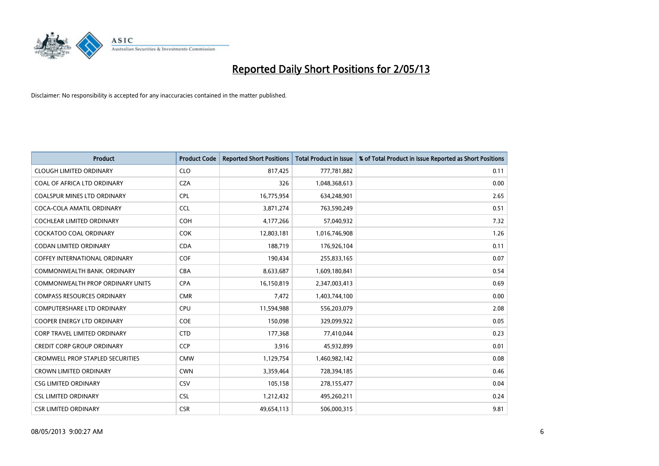

| <b>Product</b>                          | <b>Product Code</b> | <b>Reported Short Positions</b> | <b>Total Product in Issue</b> | % of Total Product in Issue Reported as Short Positions |
|-----------------------------------------|---------------------|---------------------------------|-------------------------------|---------------------------------------------------------|
| <b>CLOUGH LIMITED ORDINARY</b>          | <b>CLO</b>          | 817,425                         | 777,781,882                   | 0.11                                                    |
| COAL OF AFRICA LTD ORDINARY             | <b>CZA</b>          | 326                             | 1,048,368,613                 | 0.00                                                    |
| <b>COALSPUR MINES LTD ORDINARY</b>      | <b>CPL</b>          | 16,775,954                      | 634,248,901                   | 2.65                                                    |
| COCA-COLA AMATIL ORDINARY               | <b>CCL</b>          | 3,871,274                       | 763,590,249                   | 0.51                                                    |
| <b>COCHLEAR LIMITED ORDINARY</b>        | <b>COH</b>          | 4,177,266                       | 57,040,932                    | 7.32                                                    |
| <b>COCKATOO COAL ORDINARY</b>           | COK                 | 12,803,181                      | 1,016,746,908                 | 1.26                                                    |
| <b>CODAN LIMITED ORDINARY</b>           | <b>CDA</b>          | 188,719                         | 176,926,104                   | 0.11                                                    |
| COFFEY INTERNATIONAL ORDINARY           | <b>COF</b>          | 190,434                         | 255,833,165                   | 0.07                                                    |
| COMMONWEALTH BANK, ORDINARY             | <b>CBA</b>          | 8,633,687                       | 1,609,180,841                 | 0.54                                                    |
| COMMONWEALTH PROP ORDINARY UNITS        | <b>CPA</b>          | 16,150,819                      | 2,347,003,413                 | 0.69                                                    |
| <b>COMPASS RESOURCES ORDINARY</b>       | <b>CMR</b>          | 7,472                           | 1,403,744,100                 | 0.00                                                    |
| <b>COMPUTERSHARE LTD ORDINARY</b>       | <b>CPU</b>          | 11,594,988                      | 556,203,079                   | 2.08                                                    |
| <b>COOPER ENERGY LTD ORDINARY</b>       | <b>COE</b>          | 150,098                         | 329,099,922                   | 0.05                                                    |
| <b>CORP TRAVEL LIMITED ORDINARY</b>     | <b>CTD</b>          | 177,368                         | 77,410,044                    | 0.23                                                    |
| <b>CREDIT CORP GROUP ORDINARY</b>       | <b>CCP</b>          | 3,916                           | 45,932,899                    | 0.01                                                    |
| <b>CROMWELL PROP STAPLED SECURITIES</b> | <b>CMW</b>          | 1,129,754                       | 1,460,982,142                 | 0.08                                                    |
| <b>CROWN LIMITED ORDINARY</b>           | <b>CWN</b>          | 3,359,464                       | 728,394,185                   | 0.46                                                    |
| <b>CSG LIMITED ORDINARY</b>             | CSV                 | 105,158                         | 278,155,477                   | 0.04                                                    |
| <b>CSL LIMITED ORDINARY</b>             | <b>CSL</b>          | 1,212,432                       | 495,260,211                   | 0.24                                                    |
| <b>CSR LIMITED ORDINARY</b>             | <b>CSR</b>          | 49,654,113                      | 506,000,315                   | 9.81                                                    |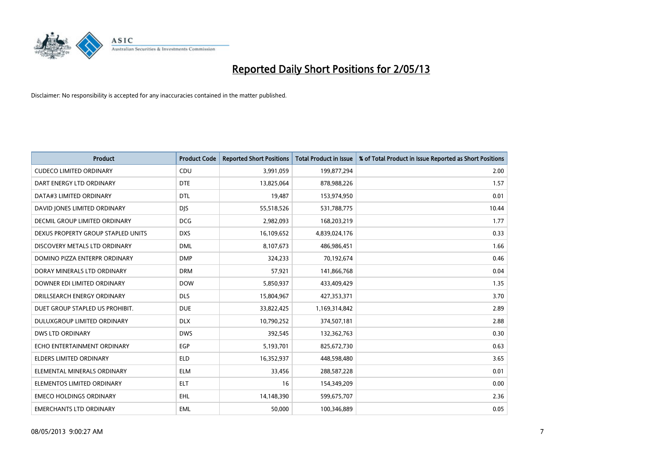

| <b>Product</b>                     | <b>Product Code</b> | <b>Reported Short Positions</b> | <b>Total Product in Issue</b> | % of Total Product in Issue Reported as Short Positions |
|------------------------------------|---------------------|---------------------------------|-------------------------------|---------------------------------------------------------|
| <b>CUDECO LIMITED ORDINARY</b>     | CDU                 | 3,991,059                       | 199,877,294                   | 2.00                                                    |
| DART ENERGY LTD ORDINARY           | <b>DTE</b>          | 13,825,064                      | 878,988,226                   | 1.57                                                    |
| DATA#3 LIMITED ORDINARY            | <b>DTL</b>          | 19,487                          | 153,974,950                   | 0.01                                                    |
| DAVID JONES LIMITED ORDINARY       | <b>DJS</b>          | 55,518,526                      | 531,788,775                   | 10.44                                                   |
| DECMIL GROUP LIMITED ORDINARY      | <b>DCG</b>          | 2,982,093                       | 168,203,219                   | 1.77                                                    |
| DEXUS PROPERTY GROUP STAPLED UNITS | <b>DXS</b>          | 16,109,652                      | 4,839,024,176                 | 0.33                                                    |
| DISCOVERY METALS LTD ORDINARY      | <b>DML</b>          | 8,107,673                       | 486,986,451                   | 1.66                                                    |
| DOMINO PIZZA ENTERPR ORDINARY      | <b>DMP</b>          | 324,233                         | 70,192,674                    | 0.46                                                    |
| DORAY MINERALS LTD ORDINARY        | <b>DRM</b>          | 57,921                          | 141,866,768                   | 0.04                                                    |
| DOWNER EDI LIMITED ORDINARY        | <b>DOW</b>          | 5,850,937                       | 433,409,429                   | 1.35                                                    |
| DRILLSEARCH ENERGY ORDINARY        | <b>DLS</b>          | 15,804,967                      | 427,353,371                   | 3.70                                                    |
| DUET GROUP STAPLED US PROHIBIT.    | <b>DUE</b>          | 33,822,425                      | 1,169,314,842                 | 2.89                                                    |
| DULUXGROUP LIMITED ORDINARY        | <b>DLX</b>          | 10,790,252                      | 374,507,181                   | 2.88                                                    |
| <b>DWS LTD ORDINARY</b>            | <b>DWS</b>          | 392,545                         | 132,362,763                   | 0.30                                                    |
| ECHO ENTERTAINMENT ORDINARY        | EGP                 | 5,193,701                       | 825,672,730                   | 0.63                                                    |
| ELDERS LIMITED ORDINARY            | <b>ELD</b>          | 16,352,937                      | 448,598,480                   | 3.65                                                    |
| ELEMENTAL MINERALS ORDINARY        | <b>ELM</b>          | 33,456                          | 288,587,228                   | 0.01                                                    |
| ELEMENTOS LIMITED ORDINARY         | <b>ELT</b>          | 16                              | 154,349,209                   | 0.00                                                    |
| <b>EMECO HOLDINGS ORDINARY</b>     | <b>EHL</b>          | 14,148,390                      | 599,675,707                   | 2.36                                                    |
| <b>EMERCHANTS LTD ORDINARY</b>     | <b>EML</b>          | 50,000                          | 100,346,889                   | 0.05                                                    |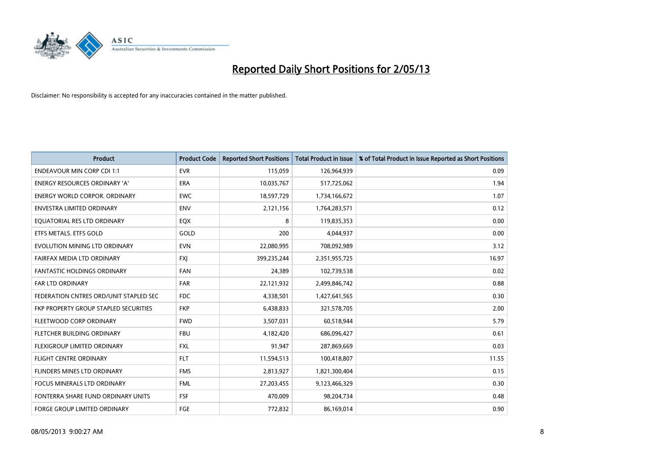

| <b>Product</b>                         | <b>Product Code</b> | <b>Reported Short Positions</b> | <b>Total Product in Issue</b> | % of Total Product in Issue Reported as Short Positions |
|----------------------------------------|---------------------|---------------------------------|-------------------------------|---------------------------------------------------------|
| <b>ENDEAVOUR MIN CORP CDI 1:1</b>      | <b>EVR</b>          | 115,059                         | 126,964,939                   | 0.09                                                    |
| ENERGY RESOURCES ORDINARY 'A'          | ERA                 | 10,035,767                      | 517,725,062                   | 1.94                                                    |
| <b>ENERGY WORLD CORPOR, ORDINARY</b>   | <b>EWC</b>          | 18,597,729                      | 1,734,166,672                 | 1.07                                                    |
| ENVESTRA LIMITED ORDINARY              | <b>ENV</b>          | 2,121,156                       | 1,764,283,571                 | 0.12                                                    |
| EQUATORIAL RES LTD ORDINARY            | EQX                 | 8                               | 119,835,353                   | 0.00                                                    |
| ETFS METALS. ETFS GOLD                 | GOLD                | 200                             | 4,044,937                     | 0.00                                                    |
| EVOLUTION MINING LTD ORDINARY          | <b>EVN</b>          | 22,080,995                      | 708,092,989                   | 3.12                                                    |
| FAIRFAX MEDIA LTD ORDINARY             | <b>FXI</b>          | 399,235,244                     | 2,351,955,725                 | 16.97                                                   |
| <b>FANTASTIC HOLDINGS ORDINARY</b>     | <b>FAN</b>          | 24,389                          | 102,739,538                   | 0.02                                                    |
| <b>FAR LTD ORDINARY</b>                | <b>FAR</b>          | 22,121,932                      | 2,499,846,742                 | 0.88                                                    |
| FEDERATION CNTRES ORD/UNIT STAPLED SEC | <b>FDC</b>          | 4,338,501                       | 1,427,641,565                 | 0.30                                                    |
| FKP PROPERTY GROUP STAPLED SECURITIES  | <b>FKP</b>          | 6,438,833                       | 321,578,705                   | 2.00                                                    |
| FLEETWOOD CORP ORDINARY                | <b>FWD</b>          | 3,507,031                       | 60,518,944                    | 5.79                                                    |
| FLETCHER BUILDING ORDINARY             | <b>FBU</b>          | 4,182,420                       | 686,096,427                   | 0.61                                                    |
| FLEXIGROUP LIMITED ORDINARY            | <b>FXL</b>          | 91,947                          | 287,869,669                   | 0.03                                                    |
| FLIGHT CENTRE ORDINARY                 | <b>FLT</b>          | 11,594,513                      | 100,418,807                   | 11.55                                                   |
| FLINDERS MINES LTD ORDINARY            | <b>FMS</b>          | 2,813,927                       | 1,821,300,404                 | 0.15                                                    |
| FOCUS MINERALS LTD ORDINARY            | <b>FML</b>          | 27,203,455                      | 9,123,466,329                 | 0.30                                                    |
| FONTERRA SHARE FUND ORDINARY UNITS     | <b>FSF</b>          | 470,009                         | 98,204,734                    | 0.48                                                    |
| <b>FORGE GROUP LIMITED ORDINARY</b>    | FGE                 | 772,832                         | 86,169,014                    | 0.90                                                    |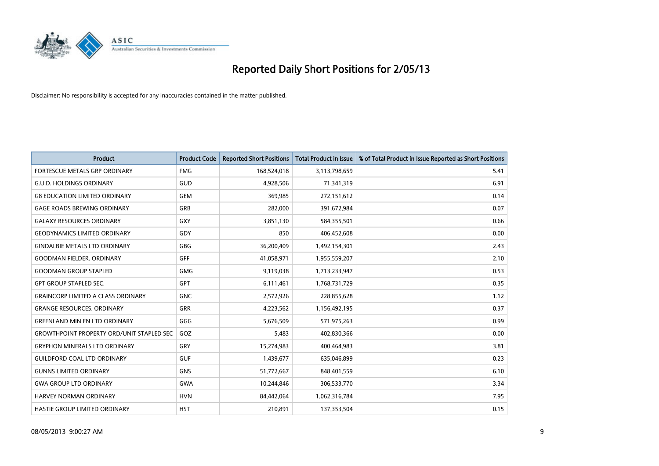

| <b>Product</b>                                   | <b>Product Code</b> | <b>Reported Short Positions</b> | <b>Total Product in Issue</b> | % of Total Product in Issue Reported as Short Positions |
|--------------------------------------------------|---------------------|---------------------------------|-------------------------------|---------------------------------------------------------|
| FORTESCUE METALS GRP ORDINARY                    | <b>FMG</b>          | 168,524,018                     | 3,113,798,659                 | 5.41                                                    |
| <b>G.U.D. HOLDINGS ORDINARY</b>                  | GUD                 | 4,928,506                       | 71,341,319                    | 6.91                                                    |
| <b>G8 EDUCATION LIMITED ORDINARY</b>             | <b>GEM</b>          | 369,985                         | 272,151,612                   | 0.14                                                    |
| <b>GAGE ROADS BREWING ORDINARY</b>               | GRB                 | 282,000                         | 391,672,984                   | 0.07                                                    |
| <b>GALAXY RESOURCES ORDINARY</b>                 | <b>GXY</b>          | 3,851,130                       | 584,355,501                   | 0.66                                                    |
| <b>GEODYNAMICS LIMITED ORDINARY</b>              | GDY                 | 850                             | 406,452,608                   | 0.00                                                    |
| <b>GINDALBIE METALS LTD ORDINARY</b>             | <b>GBG</b>          | 36,200,409                      | 1,492,154,301                 | 2.43                                                    |
| <b>GOODMAN FIELDER, ORDINARY</b>                 | GFF                 | 41,058,971                      | 1,955,559,207                 | 2.10                                                    |
| <b>GOODMAN GROUP STAPLED</b>                     | <b>GMG</b>          | 9,119,038                       | 1,713,233,947                 | 0.53                                                    |
| <b>GPT GROUP STAPLED SEC.</b>                    | GPT                 | 6,111,461                       | 1,768,731,729                 | 0.35                                                    |
| <b>GRAINCORP LIMITED A CLASS ORDINARY</b>        | <b>GNC</b>          | 2,572,926                       | 228,855,628                   | 1.12                                                    |
| <b>GRANGE RESOURCES, ORDINARY</b>                | GRR                 | 4,223,562                       | 1,156,492,195                 | 0.37                                                    |
| <b>GREENLAND MIN EN LTD ORDINARY</b>             | GGG                 | 5,676,509                       | 571,975,263                   | 0.99                                                    |
| <b>GROWTHPOINT PROPERTY ORD/UNIT STAPLED SEC</b> | GOZ                 | 5,483                           | 402,830,366                   | 0.00                                                    |
| <b>GRYPHON MINERALS LTD ORDINARY</b>             | GRY                 | 15,274,983                      | 400,464,983                   | 3.81                                                    |
| <b>GUILDFORD COAL LTD ORDINARY</b>               | <b>GUF</b>          | 1,439,677                       | 635,046,899                   | 0.23                                                    |
| <b>GUNNS LIMITED ORDINARY</b>                    | <b>GNS</b>          | 51,772,667                      | 848,401,559                   | 6.10                                                    |
| <b>GWA GROUP LTD ORDINARY</b>                    | <b>GWA</b>          | 10,244,846                      | 306,533,770                   | 3.34                                                    |
| HARVEY NORMAN ORDINARY                           | <b>HVN</b>          | 84,442,064                      | 1,062,316,784                 | 7.95                                                    |
| <b>HASTIE GROUP LIMITED ORDINARY</b>             | <b>HST</b>          | 210,891                         | 137,353,504                   | 0.15                                                    |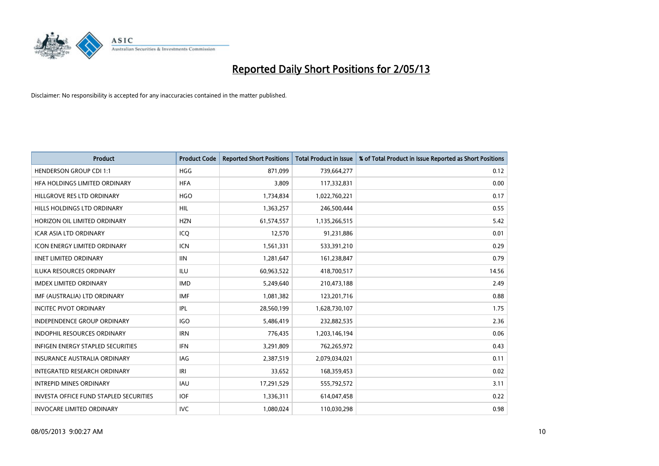

| <b>Product</b>                                | <b>Product Code</b> | <b>Reported Short Positions</b> | <b>Total Product in Issue</b> | % of Total Product in Issue Reported as Short Positions |
|-----------------------------------------------|---------------------|---------------------------------|-------------------------------|---------------------------------------------------------|
| <b>HENDERSON GROUP CDI 1:1</b>                | <b>HGG</b>          | 871,099                         | 739,664,277                   | 0.12                                                    |
| HFA HOLDINGS LIMITED ORDINARY                 | <b>HFA</b>          | 3,809                           | 117,332,831                   | 0.00                                                    |
| HILLGROVE RES LTD ORDINARY                    | <b>HGO</b>          | 1,734,834                       | 1,022,760,221                 | 0.17                                                    |
| HILLS HOLDINGS LTD ORDINARY                   | <b>HIL</b>          | 1,363,257                       | 246,500,444                   | 0.55                                                    |
| HORIZON OIL LIMITED ORDINARY                  | <b>HZN</b>          | 61,574,557                      | 1,135,266,515                 | 5.42                                                    |
| <b>ICAR ASIA LTD ORDINARY</b>                 | ICQ                 | 12,570                          | 91,231,886                    | 0.01                                                    |
| <b>ICON ENERGY LIMITED ORDINARY</b>           | <b>ICN</b>          | 1,561,331                       | 533,391,210                   | 0.29                                                    |
| <b>IINET LIMITED ORDINARY</b>                 | <b>IIN</b>          | 1,281,647                       | 161,238,847                   | 0.79                                                    |
| <b>ILUKA RESOURCES ORDINARY</b>               | <b>ILU</b>          | 60,963,522                      | 418,700,517                   | 14.56                                                   |
| <b>IMDEX LIMITED ORDINARY</b>                 | <b>IMD</b>          | 5,249,640                       | 210,473,188                   | 2.49                                                    |
| IMF (AUSTRALIA) LTD ORDINARY                  | <b>IMF</b>          | 1,081,382                       | 123,201,716                   | 0.88                                                    |
| <b>INCITEC PIVOT ORDINARY</b>                 | <b>IPL</b>          | 28,560,199                      | 1,628,730,107                 | 1.75                                                    |
| INDEPENDENCE GROUP ORDINARY                   | <b>IGO</b>          | 5,486,419                       | 232,882,535                   | 2.36                                                    |
| <b>INDOPHIL RESOURCES ORDINARY</b>            | <b>IRN</b>          | 776,435                         | 1,203,146,194                 | 0.06                                                    |
| <b>INFIGEN ENERGY STAPLED SECURITIES</b>      | <b>IFN</b>          | 3,291,809                       | 762,265,972                   | 0.43                                                    |
| INSURANCE AUSTRALIA ORDINARY                  | IAG                 | 2,387,519                       | 2,079,034,021                 | 0.11                                                    |
| INTEGRATED RESEARCH ORDINARY                  | IRI                 | 33,652                          | 168,359,453                   | 0.02                                                    |
| <b>INTREPID MINES ORDINARY</b>                | <b>IAU</b>          | 17,291,529                      | 555,792,572                   | 3.11                                                    |
| <b>INVESTA OFFICE FUND STAPLED SECURITIES</b> | <b>IOF</b>          | 1,336,311                       | 614,047,458                   | 0.22                                                    |
| <b>INVOCARE LIMITED ORDINARY</b>              | <b>IVC</b>          | 1,080,024                       | 110,030,298                   | 0.98                                                    |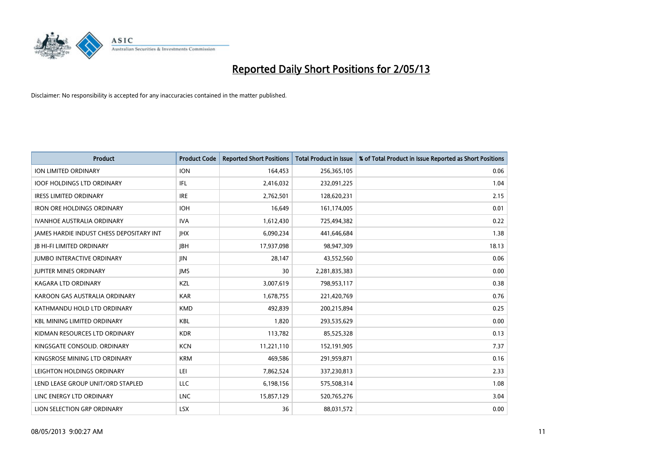

| <b>Product</b>                           | <b>Product Code</b> | <b>Reported Short Positions</b> | <b>Total Product in Issue</b> | % of Total Product in Issue Reported as Short Positions |
|------------------------------------------|---------------------|---------------------------------|-------------------------------|---------------------------------------------------------|
| ION LIMITED ORDINARY                     | <b>ION</b>          | 164,453                         | 256,365,105                   | 0.06                                                    |
| <b>IOOF HOLDINGS LTD ORDINARY</b>        | IFL                 | 2,416,032                       | 232,091,225                   | 1.04                                                    |
| <b>IRESS LIMITED ORDINARY</b>            | <b>IRE</b>          | 2,762,501                       | 128,620,231                   | 2.15                                                    |
| <b>IRON ORE HOLDINGS ORDINARY</b>        | <b>IOH</b>          | 16,649                          | 161,174,005                   | 0.01                                                    |
| <b>IVANHOE AUSTRALIA ORDINARY</b>        | <b>IVA</b>          | 1,612,430                       | 725,494,382                   | 0.22                                                    |
| JAMES HARDIE INDUST CHESS DEPOSITARY INT | <b>IHX</b>          | 6,090,234                       | 441,646,684                   | 1.38                                                    |
| <b>JB HI-FI LIMITED ORDINARY</b>         | <b>JBH</b>          | 17,937,098                      | 98,947,309                    | 18.13                                                   |
| <b>JUMBO INTERACTIVE ORDINARY</b>        | <b>JIN</b>          | 28,147                          | 43,552,560                    | 0.06                                                    |
| <b>JUPITER MINES ORDINARY</b>            | <b>IMS</b>          | 30                              | 2,281,835,383                 | 0.00                                                    |
| <b>KAGARA LTD ORDINARY</b>               | KZL                 | 3,007,619                       | 798,953,117                   | 0.38                                                    |
| KAROON GAS AUSTRALIA ORDINARY            | <b>KAR</b>          | 1,678,755                       | 221,420,769                   | 0.76                                                    |
| KATHMANDU HOLD LTD ORDINARY              | <b>KMD</b>          | 492,839                         | 200,215,894                   | 0.25                                                    |
| <b>KBL MINING LIMITED ORDINARY</b>       | <b>KBL</b>          | 1,820                           | 293,535,629                   | 0.00                                                    |
| KIDMAN RESOURCES LTD ORDINARY            | <b>KDR</b>          | 113,782                         | 85,525,328                    | 0.13                                                    |
| KINGSGATE CONSOLID. ORDINARY             | <b>KCN</b>          | 11,221,110                      | 152,191,905                   | 7.37                                                    |
| KINGSROSE MINING LTD ORDINARY            | <b>KRM</b>          | 469,586                         | 291,959,871                   | 0.16                                                    |
| LEIGHTON HOLDINGS ORDINARY               | LEI                 | 7,862,524                       | 337,230,813                   | 2.33                                                    |
| LEND LEASE GROUP UNIT/ORD STAPLED        | <b>LLC</b>          | 6,198,156                       | 575,508,314                   | 1.08                                                    |
| LINC ENERGY LTD ORDINARY                 | <b>LNC</b>          | 15,857,129                      | 520,765,276                   | 3.04                                                    |
| LION SELECTION GRP ORDINARY              | <b>LSX</b>          | 36                              | 88,031,572                    | 0.00                                                    |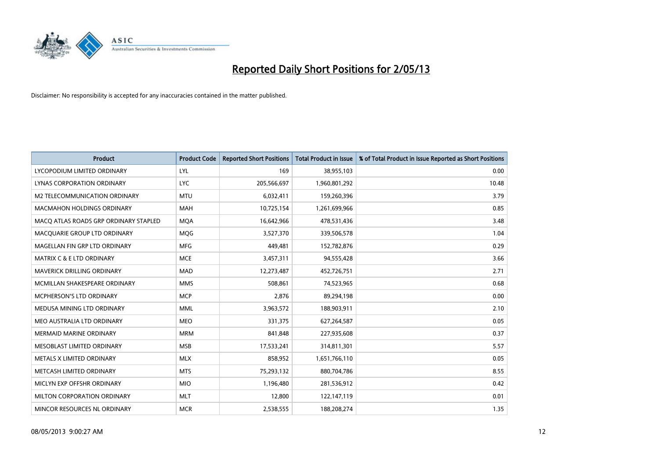

| <b>Product</b>                        | <b>Product Code</b> | <b>Reported Short Positions</b> | <b>Total Product in Issue</b> | % of Total Product in Issue Reported as Short Positions |
|---------------------------------------|---------------------|---------------------------------|-------------------------------|---------------------------------------------------------|
| LYCOPODIUM LIMITED ORDINARY           | LYL                 | 169                             | 38,955,103                    | 0.00                                                    |
| LYNAS CORPORATION ORDINARY            | <b>LYC</b>          | 205,566,697                     | 1,960,801,292                 | 10.48                                                   |
| M2 TELECOMMUNICATION ORDINARY         | <b>MTU</b>          | 6,032,411                       | 159,260,396                   | 3.79                                                    |
| <b>MACMAHON HOLDINGS ORDINARY</b>     | <b>MAH</b>          | 10,725,154                      | 1,261,699,966                 | 0.85                                                    |
| MACO ATLAS ROADS GRP ORDINARY STAPLED | <b>MOA</b>          | 16,642,966                      | 478,531,436                   | 3.48                                                    |
| MACQUARIE GROUP LTD ORDINARY          | MQG                 | 3,527,370                       | 339,506,578                   | 1.04                                                    |
| MAGELLAN FIN GRP LTD ORDINARY         | <b>MFG</b>          | 449,481                         | 152,782,876                   | 0.29                                                    |
| <b>MATRIX C &amp; E LTD ORDINARY</b>  | <b>MCE</b>          | 3,457,311                       | 94,555,428                    | 3.66                                                    |
| MAVERICK DRILLING ORDINARY            | <b>MAD</b>          | 12,273,487                      | 452,726,751                   | 2.71                                                    |
| MCMILLAN SHAKESPEARE ORDINARY         | <b>MMS</b>          | 508,861                         | 74,523,965                    | 0.68                                                    |
| MCPHERSON'S LTD ORDINARY              | <b>MCP</b>          | 2,876                           | 89,294,198                    | 0.00                                                    |
| MEDUSA MINING LTD ORDINARY            | <b>MML</b>          | 3,963,572                       | 188,903,911                   | 2.10                                                    |
| MEO AUSTRALIA LTD ORDINARY            | <b>MEO</b>          | 331,375                         | 627,264,587                   | 0.05                                                    |
| <b>MERMAID MARINE ORDINARY</b>        | <b>MRM</b>          | 841,848                         | 227,935,608                   | 0.37                                                    |
| MESOBLAST LIMITED ORDINARY            | <b>MSB</b>          | 17,533,241                      | 314,811,301                   | 5.57                                                    |
| METALS X LIMITED ORDINARY             | <b>MLX</b>          | 858,952                         | 1,651,766,110                 | 0.05                                                    |
| METCASH LIMITED ORDINARY              | <b>MTS</b>          | 75,293,132                      | 880,704,786                   | 8.55                                                    |
| MICLYN EXP OFFSHR ORDINARY            | <b>MIO</b>          | 1,196,480                       | 281,536,912                   | 0.42                                                    |
| MILTON CORPORATION ORDINARY           | <b>MLT</b>          | 12,800                          | 122,147,119                   | 0.01                                                    |
| MINCOR RESOURCES NL ORDINARY          | <b>MCR</b>          | 2,538,555                       | 188,208,274                   | 1.35                                                    |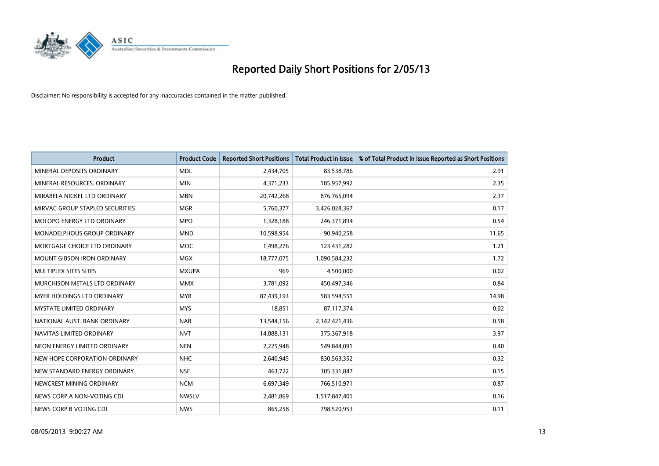

| <b>Product</b>                  | <b>Product Code</b> | <b>Reported Short Positions</b> | <b>Total Product in Issue</b> | % of Total Product in Issue Reported as Short Positions |
|---------------------------------|---------------------|---------------------------------|-------------------------------|---------------------------------------------------------|
| MINERAL DEPOSITS ORDINARY       | <b>MDL</b>          | 2,434,705                       | 83,538,786                    | 2.91                                                    |
| MINERAL RESOURCES. ORDINARY     | <b>MIN</b>          | 4,371,233                       | 185,957,992                   | 2.35                                                    |
| MIRABELA NICKEL LTD ORDINARY    | <b>MBN</b>          | 20,742,268                      | 876,765,094                   | 2.37                                                    |
| MIRVAC GROUP STAPLED SECURITIES | <b>MGR</b>          | 5,760,377                       | 3,426,028,367                 | 0.17                                                    |
| MOLOPO ENERGY LTD ORDINARY      | <b>MPO</b>          | 1,328,188                       | 246,371,894                   | 0.54                                                    |
| MONADELPHOUS GROUP ORDINARY     | <b>MND</b>          | 10,598,954                      | 90,940,258                    | 11.65                                                   |
| MORTGAGE CHOICE LTD ORDINARY    | MOC                 | 1,498,276                       | 123,431,282                   | 1.21                                                    |
| MOUNT GIBSON IRON ORDINARY      | <b>MGX</b>          | 18,777,075                      | 1,090,584,232                 | 1.72                                                    |
| MULTIPLEX SITES SITES           | <b>MXUPA</b>        | 969                             | 4,500,000                     | 0.02                                                    |
| MURCHISON METALS LTD ORDINARY   | <b>MMX</b>          | 3,781,092                       | 450,497,346                   | 0.84                                                    |
| MYER HOLDINGS LTD ORDINARY      | <b>MYR</b>          | 87,439,193                      | 583,594,551                   | 14.98                                                   |
| <b>MYSTATE LIMITED ORDINARY</b> | <b>MYS</b>          | 18,851                          | 87,117,374                    | 0.02                                                    |
| NATIONAL AUST, BANK ORDINARY    | <b>NAB</b>          | 13,544,156                      | 2,342,421,436                 | 0.58                                                    |
| NAVITAS LIMITED ORDINARY        | <b>NVT</b>          | 14,888,131                      | 375,367,918                   | 3.97                                                    |
| NEON ENERGY LIMITED ORDINARY    | <b>NEN</b>          | 2,225,948                       | 549,844,091                   | 0.40                                                    |
| NEW HOPE CORPORATION ORDINARY   | <b>NHC</b>          | 2,640,945                       | 830,563,352                   | 0.32                                                    |
| NEW STANDARD ENERGY ORDINARY    | <b>NSE</b>          | 463,722                         | 305,331,847                   | 0.15                                                    |
| NEWCREST MINING ORDINARY        | <b>NCM</b>          | 6,697,349                       | 766,510,971                   | 0.87                                                    |
| NEWS CORP A NON-VOTING CDI      | <b>NWSLV</b>        | 2,481,869                       | 1,517,847,401                 | 0.16                                                    |
| NEWS CORP B VOTING CDI          | <b>NWS</b>          | 865,258                         | 798,520,953                   | 0.11                                                    |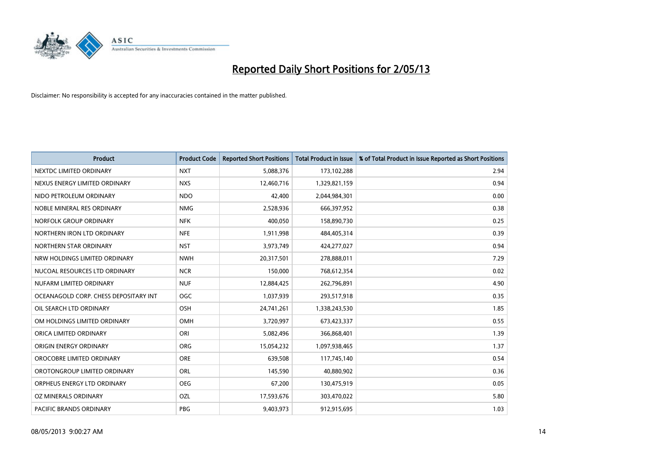

| <b>Product</b>                        | <b>Product Code</b> | <b>Reported Short Positions</b> | <b>Total Product in Issue</b> | % of Total Product in Issue Reported as Short Positions |
|---------------------------------------|---------------------|---------------------------------|-------------------------------|---------------------------------------------------------|
| NEXTDC LIMITED ORDINARY               | <b>NXT</b>          | 5,088,376                       | 173,102,288                   | 2.94                                                    |
| NEXUS ENERGY LIMITED ORDINARY         | <b>NXS</b>          | 12,460,716                      | 1,329,821,159                 | 0.94                                                    |
| NIDO PETROLEUM ORDINARY               | <b>NDO</b>          | 42,400                          | 2,044,984,301                 | 0.00                                                    |
| NOBLE MINERAL RES ORDINARY            | <b>NMG</b>          | 2,528,936                       | 666,397,952                   | 0.38                                                    |
| NORFOLK GROUP ORDINARY                | <b>NFK</b>          | 400,050                         | 158,890,730                   | 0.25                                                    |
| NORTHERN IRON LTD ORDINARY            | <b>NFE</b>          | 1,911,998                       | 484,405,314                   | 0.39                                                    |
| NORTHERN STAR ORDINARY                | <b>NST</b>          | 3,973,749                       | 424,277,027                   | 0.94                                                    |
| NRW HOLDINGS LIMITED ORDINARY         | <b>NWH</b>          | 20,317,501                      | 278,888,011                   | 7.29                                                    |
| NUCOAL RESOURCES LTD ORDINARY         | <b>NCR</b>          | 150,000                         | 768,612,354                   | 0.02                                                    |
| NUFARM LIMITED ORDINARY               | <b>NUF</b>          | 12,884,425                      | 262,796,891                   | 4.90                                                    |
| OCEANAGOLD CORP. CHESS DEPOSITARY INT | <b>OGC</b>          | 1,037,939                       | 293,517,918                   | 0.35                                                    |
| OIL SEARCH LTD ORDINARY               | OSH                 | 24,741,261                      | 1,338,243,530                 | 1.85                                                    |
| OM HOLDINGS LIMITED ORDINARY          | OMH                 | 3,720,997                       | 673,423,337                   | 0.55                                                    |
| ORICA LIMITED ORDINARY                | ORI                 | 5,082,496                       | 366,868,401                   | 1.39                                                    |
| ORIGIN ENERGY ORDINARY                | <b>ORG</b>          | 15,054,232                      | 1,097,938,465                 | 1.37                                                    |
| OROCOBRE LIMITED ORDINARY             | <b>ORE</b>          | 639,508                         | 117,745,140                   | 0.54                                                    |
| OROTONGROUP LIMITED ORDINARY          | ORL                 | 145,590                         | 40,880,902                    | 0.36                                                    |
| ORPHEUS ENERGY LTD ORDINARY           | <b>OEG</b>          | 67,200                          | 130,475,919                   | 0.05                                                    |
| <b>OZ MINERALS ORDINARY</b>           | OZL                 | 17,593,676                      | 303,470,022                   | 5.80                                                    |
| PACIFIC BRANDS ORDINARY               | <b>PBG</b>          | 9,403,973                       | 912,915,695                   | 1.03                                                    |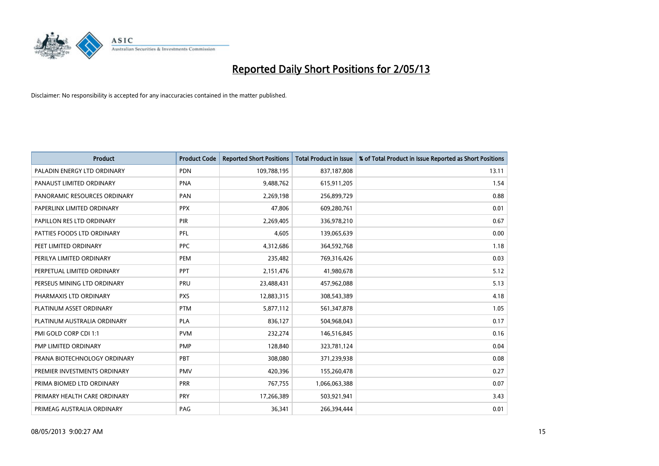

| <b>Product</b>               | <b>Product Code</b> | <b>Reported Short Positions</b> | <b>Total Product in Issue</b> | % of Total Product in Issue Reported as Short Positions |
|------------------------------|---------------------|---------------------------------|-------------------------------|---------------------------------------------------------|
| PALADIN ENERGY LTD ORDINARY  | <b>PDN</b>          | 109,788,195                     | 837,187,808                   | 13.11                                                   |
| PANAUST LIMITED ORDINARY     | <b>PNA</b>          | 9,488,762                       | 615,911,205                   | 1.54                                                    |
| PANORAMIC RESOURCES ORDINARY | PAN                 | 2,269,198                       | 256,899,729                   | 0.88                                                    |
| PAPERLINX LIMITED ORDINARY   | <b>PPX</b>          | 47,806                          | 609,280,761                   | 0.01                                                    |
| PAPILLON RES LTD ORDINARY    | PIR                 | 2,269,405                       | 336,978,210                   | 0.67                                                    |
| PATTIES FOODS LTD ORDINARY   | PFL                 | 4,605                           | 139,065,639                   | 0.00                                                    |
| PEET LIMITED ORDINARY        | <b>PPC</b>          | 4,312,686                       | 364,592,768                   | 1.18                                                    |
| PERILYA LIMITED ORDINARY     | PEM                 | 235,482                         | 769,316,426                   | 0.03                                                    |
| PERPETUAL LIMITED ORDINARY   | PPT                 | 2,151,476                       | 41,980,678                    | 5.12                                                    |
| PERSEUS MINING LTD ORDINARY  | <b>PRU</b>          | 23,488,431                      | 457,962,088                   | 5.13                                                    |
| PHARMAXIS LTD ORDINARY       | <b>PXS</b>          | 12,883,315                      | 308,543,389                   | 4.18                                                    |
| PLATINUM ASSET ORDINARY      | <b>PTM</b>          | 5,877,112                       | 561,347,878                   | 1.05                                                    |
| PLATINUM AUSTRALIA ORDINARY  | <b>PLA</b>          | 836,127                         | 504,968,043                   | 0.17                                                    |
| PMI GOLD CORP CDI 1:1        | <b>PVM</b>          | 232,274                         | 146,516,845                   | 0.16                                                    |
| PMP LIMITED ORDINARY         | <b>PMP</b>          | 128,840                         | 323,781,124                   | 0.04                                                    |
| PRANA BIOTECHNOLOGY ORDINARY | <b>PBT</b>          | 308,080                         | 371,239,938                   | 0.08                                                    |
| PREMIER INVESTMENTS ORDINARY | <b>PMV</b>          | 420,396                         | 155,260,478                   | 0.27                                                    |
| PRIMA BIOMED LTD ORDINARY    | <b>PRR</b>          | 767,755                         | 1,066,063,388                 | 0.07                                                    |
| PRIMARY HEALTH CARE ORDINARY | <b>PRY</b>          | 17,266,389                      | 503,921,941                   | 3.43                                                    |
| PRIMEAG AUSTRALIA ORDINARY   | PAG                 | 36,341                          | 266,394,444                   | 0.01                                                    |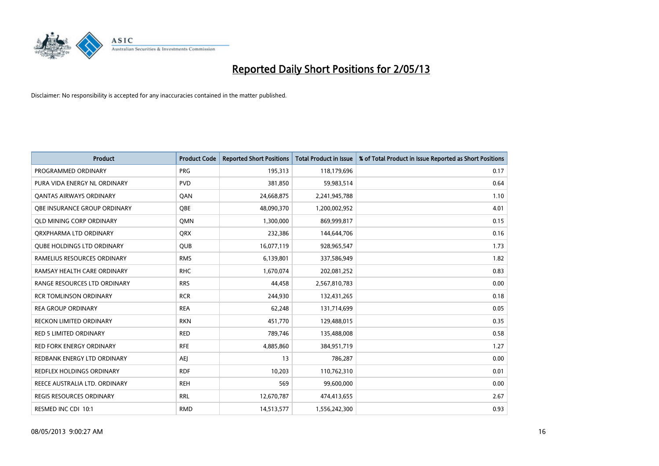

| <b>Product</b>                    | <b>Product Code</b> | <b>Reported Short Positions</b> | <b>Total Product in Issue</b> | % of Total Product in Issue Reported as Short Positions |
|-----------------------------------|---------------------|---------------------------------|-------------------------------|---------------------------------------------------------|
| PROGRAMMED ORDINARY               | <b>PRG</b>          | 195,313                         | 118,179,696                   | 0.17                                                    |
| PURA VIDA ENERGY NL ORDINARY      | <b>PVD</b>          | 381,850                         | 59,983,514                    | 0.64                                                    |
| OANTAS AIRWAYS ORDINARY           | QAN                 | 24,668,875                      | 2,241,945,788                 | 1.10                                                    |
| OBE INSURANCE GROUP ORDINARY      | <b>OBE</b>          | 48,090,370                      | 1,200,002,952                 | 4.01                                                    |
| <b>QLD MINING CORP ORDINARY</b>   | <b>OMN</b>          | 1,300,000                       | 869,999,817                   | 0.15                                                    |
| ORXPHARMA LTD ORDINARY            | <b>ORX</b>          | 232,386                         | 144,644,706                   | 0.16                                                    |
| <b>QUBE HOLDINGS LTD ORDINARY</b> | <b>QUB</b>          | 16,077,119                      | 928,965,547                   | 1.73                                                    |
| RAMELIUS RESOURCES ORDINARY       | <b>RMS</b>          | 6,139,801                       | 337,586,949                   | 1.82                                                    |
| RAMSAY HEALTH CARE ORDINARY       | <b>RHC</b>          | 1,670,074                       | 202,081,252                   | 0.83                                                    |
| RANGE RESOURCES LTD ORDINARY      | <b>RRS</b>          | 44,458                          | 2,567,810,783                 | 0.00                                                    |
| <b>RCR TOMLINSON ORDINARY</b>     | <b>RCR</b>          | 244,930                         | 132,431,265                   | 0.18                                                    |
| <b>REA GROUP ORDINARY</b>         | <b>REA</b>          | 62,248                          | 131,714,699                   | 0.05                                                    |
| RECKON LIMITED ORDINARY           | <b>RKN</b>          | 451,770                         | 129,488,015                   | 0.35                                                    |
| <b>RED 5 LIMITED ORDINARY</b>     | <b>RED</b>          | 789,746                         | 135,488,008                   | 0.58                                                    |
| <b>RED FORK ENERGY ORDINARY</b>   | <b>RFE</b>          | 4,885,860                       | 384,951,719                   | 1.27                                                    |
| REDBANK ENERGY LTD ORDINARY       | <b>AEI</b>          | 13                              | 786,287                       | 0.00                                                    |
| REDFLEX HOLDINGS ORDINARY         | <b>RDF</b>          | 10,203                          | 110,762,310                   | 0.01                                                    |
| REECE AUSTRALIA LTD. ORDINARY     | <b>REH</b>          | 569                             | 99,600,000                    | 0.00                                                    |
| <b>REGIS RESOURCES ORDINARY</b>   | <b>RRL</b>          | 12,670,787                      | 474,413,655                   | 2.67                                                    |
| RESMED INC CDI 10:1               | <b>RMD</b>          | 14,513,577                      | 1,556,242,300                 | 0.93                                                    |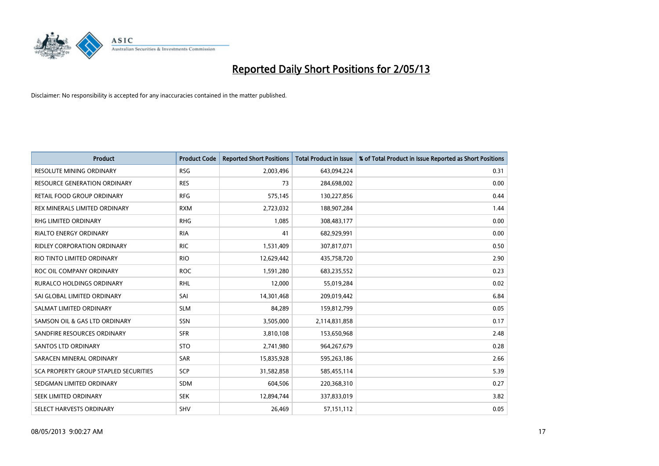

| <b>Product</b>                        | <b>Product Code</b> | <b>Reported Short Positions</b> | <b>Total Product in Issue</b> | % of Total Product in Issue Reported as Short Positions |
|---------------------------------------|---------------------|---------------------------------|-------------------------------|---------------------------------------------------------|
| <b>RESOLUTE MINING ORDINARY</b>       | <b>RSG</b>          | 2,003,496                       | 643,094,224                   | 0.31                                                    |
| <b>RESOURCE GENERATION ORDINARY</b>   | <b>RES</b>          | 73                              | 284,698,002                   | 0.00                                                    |
| RETAIL FOOD GROUP ORDINARY            | <b>RFG</b>          | 575,145                         | 130,227,856                   | 0.44                                                    |
| REX MINERALS LIMITED ORDINARY         | <b>RXM</b>          | 2,723,032                       | 188,907,284                   | 1.44                                                    |
| <b>RHG LIMITED ORDINARY</b>           | <b>RHG</b>          | 1,085                           | 308,483,177                   | 0.00                                                    |
| <b>RIALTO ENERGY ORDINARY</b>         | <b>RIA</b>          | 41                              | 682,929,991                   | 0.00                                                    |
| <b>RIDLEY CORPORATION ORDINARY</b>    | <b>RIC</b>          | 1,531,409                       | 307,817,071                   | 0.50                                                    |
| RIO TINTO LIMITED ORDINARY            | <b>RIO</b>          | 12,629,442                      | 435,758,720                   | 2.90                                                    |
| ROC OIL COMPANY ORDINARY              | <b>ROC</b>          | 1,591,280                       | 683,235,552                   | 0.23                                                    |
| <b>RURALCO HOLDINGS ORDINARY</b>      | <b>RHL</b>          | 12,000                          | 55,019,284                    | 0.02                                                    |
| SAI GLOBAL LIMITED ORDINARY           | SAI                 | 14,301,468                      | 209,019,442                   | 6.84                                                    |
| SALMAT LIMITED ORDINARY               | <b>SLM</b>          | 84,289                          | 159,812,799                   | 0.05                                                    |
| SAMSON OIL & GAS LTD ORDINARY         | SSN                 | 3,505,000                       | 2,114,831,858                 | 0.17                                                    |
| SANDFIRE RESOURCES ORDINARY           | <b>SFR</b>          | 3,810,108                       | 153,650,968                   | 2.48                                                    |
| SANTOS LTD ORDINARY                   | <b>STO</b>          | 2,741,980                       | 964,267,679                   | 0.28                                                    |
| SARACEN MINERAL ORDINARY              | SAR                 | 15,835,928                      | 595,263,186                   | 2.66                                                    |
| SCA PROPERTY GROUP STAPLED SECURITIES | SCP                 | 31,582,858                      | 585,455,114                   | 5.39                                                    |
| SEDGMAN LIMITED ORDINARY              | <b>SDM</b>          | 604,506                         | 220,368,310                   | 0.27                                                    |
| SEEK LIMITED ORDINARY                 | <b>SEK</b>          | 12,894,744                      | 337,833,019                   | 3.82                                                    |
| SELECT HARVESTS ORDINARY              | SHV                 | 26,469                          | 57,151,112                    | 0.05                                                    |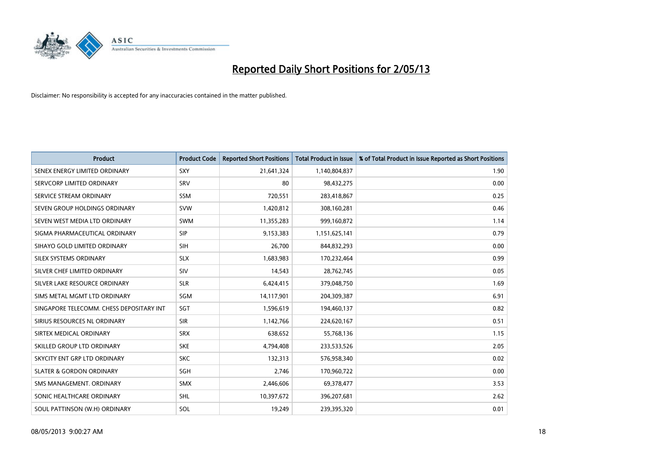

| <b>Product</b>                           | <b>Product Code</b> | <b>Reported Short Positions</b> | <b>Total Product in Issue</b> | % of Total Product in Issue Reported as Short Positions |
|------------------------------------------|---------------------|---------------------------------|-------------------------------|---------------------------------------------------------|
| SENEX ENERGY LIMITED ORDINARY            | SXY                 | 21,641,324                      | 1,140,804,837                 | 1.90                                                    |
| SERVCORP LIMITED ORDINARY                | SRV                 | 80                              | 98,432,275                    | 0.00                                                    |
| SERVICE STREAM ORDINARY                  | <b>SSM</b>          | 720,551                         | 283,418,867                   | 0.25                                                    |
| SEVEN GROUP HOLDINGS ORDINARY            | <b>SVW</b>          | 1,420,812                       | 308,160,281                   | 0.46                                                    |
| SEVEN WEST MEDIA LTD ORDINARY            | <b>SWM</b>          | 11,355,283                      | 999,160,872                   | 1.14                                                    |
| SIGMA PHARMACEUTICAL ORDINARY            | <b>SIP</b>          | 9,153,383                       | 1,151,625,141                 | 0.79                                                    |
| SIHAYO GOLD LIMITED ORDINARY             | <b>SIH</b>          | 26,700                          | 844,832,293                   | 0.00                                                    |
| SILEX SYSTEMS ORDINARY                   | <b>SLX</b>          | 1,683,983                       | 170,232,464                   | 0.99                                                    |
| SILVER CHEF LIMITED ORDINARY             | SIV                 | 14,543                          | 28,762,745                    | 0.05                                                    |
| SILVER LAKE RESOURCE ORDINARY            | <b>SLR</b>          | 6,424,415                       | 379,048,750                   | 1.69                                                    |
| SIMS METAL MGMT LTD ORDINARY             | SGM                 | 14,117,901                      | 204,309,387                   | 6.91                                                    |
| SINGAPORE TELECOMM. CHESS DEPOSITARY INT | SGT                 | 1,596,619                       | 194,460,137                   | 0.82                                                    |
| SIRIUS RESOURCES NL ORDINARY             | <b>SIR</b>          | 1,142,766                       | 224,620,167                   | 0.51                                                    |
| SIRTEX MEDICAL ORDINARY                  | <b>SRX</b>          | 638,652                         | 55,768,136                    | 1.15                                                    |
| SKILLED GROUP LTD ORDINARY               | <b>SKE</b>          | 4,794,408                       | 233,533,526                   | 2.05                                                    |
| SKYCITY ENT GRP LTD ORDINARY             | <b>SKC</b>          | 132,313                         | 576,958,340                   | 0.02                                                    |
| <b>SLATER &amp; GORDON ORDINARY</b>      | SGH                 | 2,746                           | 170,960,722                   | 0.00                                                    |
| SMS MANAGEMENT. ORDINARY                 | <b>SMX</b>          | 2,446,606                       | 69,378,477                    | 3.53                                                    |
| SONIC HEALTHCARE ORDINARY                | SHL                 | 10,397,672                      | 396,207,681                   | 2.62                                                    |
| SOUL PATTINSON (W.H) ORDINARY            | SOL                 | 19,249                          | 239,395,320                   | 0.01                                                    |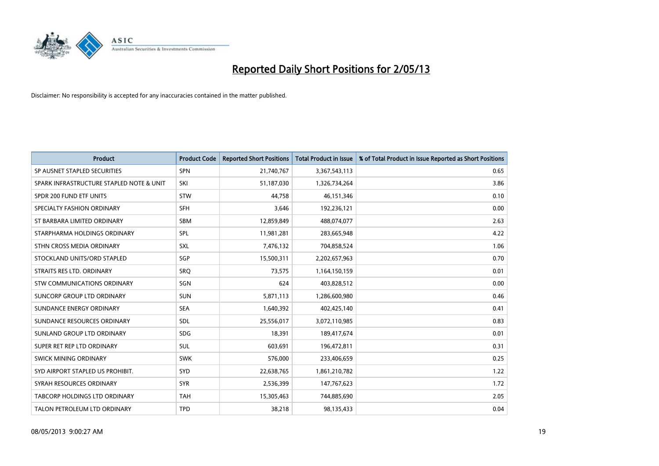

| <b>Product</b>                           | <b>Product Code</b> | <b>Reported Short Positions</b> | <b>Total Product in Issue</b> | % of Total Product in Issue Reported as Short Positions |
|------------------------------------------|---------------------|---------------------------------|-------------------------------|---------------------------------------------------------|
| SP AUSNET STAPLED SECURITIES             | SPN                 | 21,740,767                      | 3,367,543,113                 | 0.65                                                    |
| SPARK INFRASTRUCTURE STAPLED NOTE & UNIT | SKI                 | 51,187,030                      | 1,326,734,264                 | 3.86                                                    |
| SPDR 200 FUND ETF UNITS                  | <b>STW</b>          | 44,758                          | 46, 151, 346                  | 0.10                                                    |
| SPECIALTY FASHION ORDINARY               | <b>SFH</b>          | 3,646                           | 192,236,121                   | 0.00                                                    |
| ST BARBARA LIMITED ORDINARY              | <b>SBM</b>          | 12,859,849                      | 488,074,077                   | 2.63                                                    |
| STARPHARMA HOLDINGS ORDINARY             | SPL                 | 11,981,281                      | 283,665,948                   | 4.22                                                    |
| STHN CROSS MEDIA ORDINARY                | <b>SXL</b>          | 7,476,132                       | 704,858,524                   | 1.06                                                    |
| STOCKLAND UNITS/ORD STAPLED              | SGP                 | 15,500,311                      | 2,202,657,963                 | 0.70                                                    |
| STRAITS RES LTD. ORDINARY                | <b>SRO</b>          | 73,575                          | 1,164,150,159                 | 0.01                                                    |
| STW COMMUNICATIONS ORDINARY              | SGN                 | 624                             | 403,828,512                   | 0.00                                                    |
| SUNCORP GROUP LTD ORDINARY               | <b>SUN</b>          | 5,871,113                       | 1,286,600,980                 | 0.46                                                    |
| SUNDANCE ENERGY ORDINARY                 | <b>SEA</b>          | 1,640,392                       | 402,425,140                   | 0.41                                                    |
| SUNDANCE RESOURCES ORDINARY              | SDL                 | 25,556,017                      | 3,072,110,985                 | 0.83                                                    |
| SUNLAND GROUP LTD ORDINARY               | <b>SDG</b>          | 18,391                          | 189,417,674                   | 0.01                                                    |
| SUPER RET REP LTD ORDINARY               | <b>SUL</b>          | 603,691                         | 196,472,811                   | 0.31                                                    |
| SWICK MINING ORDINARY                    | <b>SWK</b>          | 576,000                         | 233,406,659                   | 0.25                                                    |
| SYD AIRPORT STAPLED US PROHIBIT.         | <b>SYD</b>          | 22,638,765                      | 1,861,210,782                 | 1.22                                                    |
| SYRAH RESOURCES ORDINARY                 | <b>SYR</b>          | 2,536,399                       | 147,767,623                   | 1.72                                                    |
| TABCORP HOLDINGS LTD ORDINARY            | <b>TAH</b>          | 15,305,463                      | 744,885,690                   | 2.05                                                    |
| TALON PETROLEUM LTD ORDINARY             | <b>TPD</b>          | 38,218                          | 98,135,433                    | 0.04                                                    |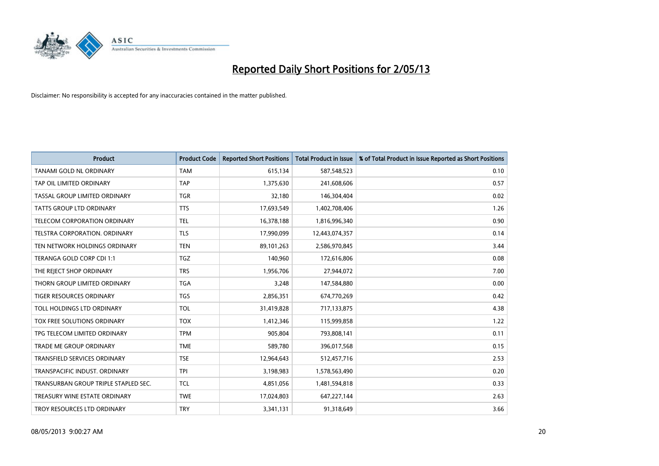

| <b>Product</b>                       | <b>Product Code</b> | <b>Reported Short Positions</b> | <b>Total Product in Issue</b> | % of Total Product in Issue Reported as Short Positions |
|--------------------------------------|---------------------|---------------------------------|-------------------------------|---------------------------------------------------------|
| TANAMI GOLD NL ORDINARY              | <b>TAM</b>          | 615,134                         | 587,548,523                   | 0.10                                                    |
| TAP OIL LIMITED ORDINARY             | <b>TAP</b>          | 1,375,630                       | 241,608,606                   | 0.57                                                    |
| TASSAL GROUP LIMITED ORDINARY        | <b>TGR</b>          | 32,180                          | 146,304,404                   | 0.02                                                    |
| <b>TATTS GROUP LTD ORDINARY</b>      | <b>TTS</b>          | 17,693,549                      | 1,402,708,406                 | 1.26                                                    |
| TELECOM CORPORATION ORDINARY         | <b>TEL</b>          | 16,378,188                      | 1,816,996,340                 | 0.90                                                    |
| TELSTRA CORPORATION, ORDINARY        | <b>TLS</b>          | 17,990,099                      | 12,443,074,357                | 0.14                                                    |
| TEN NETWORK HOLDINGS ORDINARY        | <b>TEN</b>          | 89,101,263                      | 2,586,970,845                 | 3.44                                                    |
| TERANGA GOLD CORP CDI 1:1            | <b>TGZ</b>          | 140,960                         | 172,616,806                   | 0.08                                                    |
| THE REJECT SHOP ORDINARY             | <b>TRS</b>          | 1,956,706                       | 27,944,072                    | 7.00                                                    |
| THORN GROUP LIMITED ORDINARY         | <b>TGA</b>          | 3,248                           | 147,584,880                   | 0.00                                                    |
| TIGER RESOURCES ORDINARY             | <b>TGS</b>          | 2,856,351                       | 674,770,269                   | 0.42                                                    |
| TOLL HOLDINGS LTD ORDINARY           | <b>TOL</b>          | 31,419,828                      | 717,133,875                   | 4.38                                                    |
| TOX FREE SOLUTIONS ORDINARY          | <b>TOX</b>          | 1,412,346                       | 115,999,858                   | 1.22                                                    |
| TPG TELECOM LIMITED ORDINARY         | <b>TPM</b>          | 905,804                         | 793,808,141                   | 0.11                                                    |
| TRADE ME GROUP ORDINARY              | <b>TME</b>          | 589,780                         | 396,017,568                   | 0.15                                                    |
| <b>TRANSFIELD SERVICES ORDINARY</b>  | <b>TSE</b>          | 12,964,643                      | 512,457,716                   | 2.53                                                    |
| TRANSPACIFIC INDUST. ORDINARY        | <b>TPI</b>          | 3,198,983                       | 1,578,563,490                 | 0.20                                                    |
| TRANSURBAN GROUP TRIPLE STAPLED SEC. | <b>TCL</b>          | 4,851,056                       | 1,481,594,818                 | 0.33                                                    |
| TREASURY WINE ESTATE ORDINARY        | <b>TWE</b>          | 17,024,803                      | 647,227,144                   | 2.63                                                    |
| TROY RESOURCES LTD ORDINARY          | <b>TRY</b>          | 3,341,131                       | 91,318,649                    | 3.66                                                    |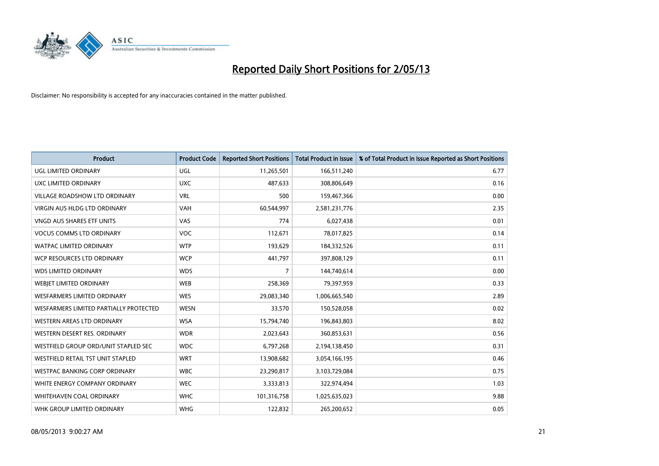

| <b>Product</b>                         | <b>Product Code</b> | <b>Reported Short Positions</b> | <b>Total Product in Issue</b> | % of Total Product in Issue Reported as Short Positions |
|----------------------------------------|---------------------|---------------------------------|-------------------------------|---------------------------------------------------------|
| <b>UGL LIMITED ORDINARY</b>            | UGL                 | 11,265,501                      | 166,511,240                   | 6.77                                                    |
| UXC LIMITED ORDINARY                   | <b>UXC</b>          | 487,633                         | 308,806,649                   | 0.16                                                    |
| <b>VILLAGE ROADSHOW LTD ORDINARY</b>   | <b>VRL</b>          | 500                             | 159,467,366                   | 0.00                                                    |
| <b>VIRGIN AUS HLDG LTD ORDINARY</b>    | <b>VAH</b>          | 60,544,997                      | 2,581,231,776                 | 2.35                                                    |
| <b>VNGD AUS SHARES ETF UNITS</b>       | VAS                 | 774                             | 6,027,438                     | 0.01                                                    |
| <b>VOCUS COMMS LTD ORDINARY</b>        | <b>VOC</b>          | 112,671                         | 78,017,825                    | 0.14                                                    |
| <b>WATPAC LIMITED ORDINARY</b>         | <b>WTP</b>          | 193,629                         | 184,332,526                   | 0.11                                                    |
| WCP RESOURCES LTD ORDINARY             | <b>WCP</b>          | 441,797                         | 397,808,129                   | 0.11                                                    |
| <b>WDS LIMITED ORDINARY</b>            | <b>WDS</b>          | 7                               | 144,740,614                   | 0.00                                                    |
| <b>WEBJET LIMITED ORDINARY</b>         | <b>WEB</b>          | 258,369                         | 79,397,959                    | 0.33                                                    |
| WESFARMERS LIMITED ORDINARY            | <b>WES</b>          | 29,083,340                      | 1,006,665,540                 | 2.89                                                    |
| WESFARMERS LIMITED PARTIALLY PROTECTED | <b>WESN</b>         | 33,570                          | 150,528,058                   | 0.02                                                    |
| WESTERN AREAS LTD ORDINARY             | <b>WSA</b>          | 15,794,740                      | 196,843,803                   | 8.02                                                    |
| WESTERN DESERT RES. ORDINARY           | <b>WDR</b>          | 2,023,643                       | 360,853,631                   | 0.56                                                    |
| WESTFIELD GROUP ORD/UNIT STAPLED SEC   | <b>WDC</b>          | 6,797,268                       | 2,194,138,450                 | 0.31                                                    |
| WESTFIELD RETAIL TST UNIT STAPLED      | <b>WRT</b>          | 13,908,682                      | 3,054,166,195                 | 0.46                                                    |
| WESTPAC BANKING CORP ORDINARY          | <b>WBC</b>          | 23,290,817                      | 3,103,729,084                 | 0.75                                                    |
| WHITE ENERGY COMPANY ORDINARY          | <b>WEC</b>          | 3,333,813                       | 322,974,494                   | 1.03                                                    |
| WHITEHAVEN COAL ORDINARY               | <b>WHC</b>          | 101,316,758                     | 1,025,635,023                 | 9.88                                                    |
| WHK GROUP LIMITED ORDINARY             | <b>WHG</b>          | 122,832                         | 265,200,652                   | 0.05                                                    |